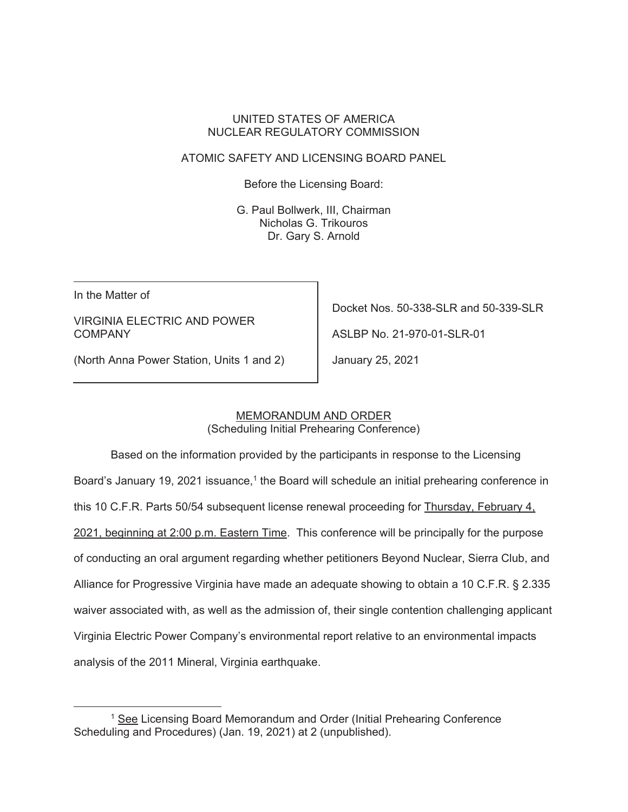## UNITED STATES OF AMERICA NUCLEAR REGULATORY COMMISSION

# ATOMIC SAFETY AND LICENSING BOARD PANEL

Before the Licensing Board:

 G. Paul Bollwerk, III, Chairman Nicholas G. Trikouros Dr. Gary S. Arnold

 $\mathsf{I}$ 

In the Matter of

# VIRGINIA ELECTRIC AND POWER **COMPANY**

Docket Nos. 50-338-SLR and 50-339-SLR

ASLBP No. 21-970-01-SLR-01

(North Anna Power Station, Units 1 and 2)

January 25, 2021

#### MEMORANDUM AND ORDER

(Scheduling Initial Prehearing Conference)

 Based on the information provided by the participants in response to the Licensing Board's January 19, 2021 issuance,<sup>1</sup> the Board will schedule an initial prehearing conference in this 10 C.F.R. Parts 50/54 subsequent license renewal proceeding for Thursday, February 4, 2021, beginning at 2:00 p.m. Eastern Time. This conference will be principally for the purpose of conducting an oral argument regarding whether petitioners Beyond Nuclear, Sierra Club, and Alliance for Progressive Virginia have made an adequate showing to obtain a 10 C.F.R. § 2.335 waiver associated with, as well as the admission of, their single contention challenging applicant Virginia Electric Power Company's environmental report relative to an environmental impacts analysis of the 2011 Mineral, Virginia earthquake.

<sup>&</sup>lt;sup>1</sup> See Licensing Board Memorandum and Order (Initial Prehearing Conference Scheduling and Procedures) (Jan. 19, 2021) at 2 (unpublished).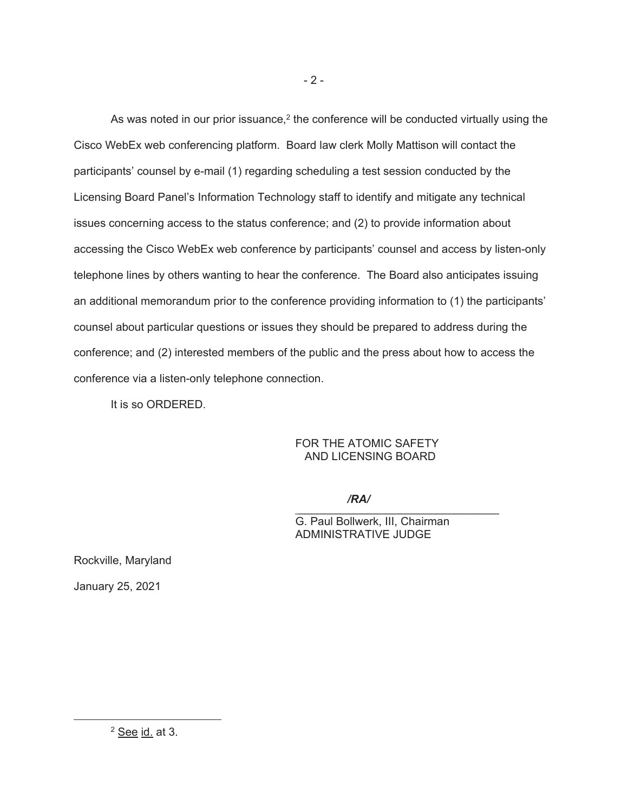As was noted in our prior issuance, $2$  the conference will be conducted virtually using the Cisco WebEx web conferencing platform. Board law clerk Molly Mattison will contact the participants' counsel by e-mail (1) regarding scheduling a test session conducted by the Licensing Board Panel's Information Technology staff to identify and mitigate any technical issues concerning access to the status conference; and (2) to provide information about accessing the Cisco WebEx web conference by participants' counsel and access by listen-only telephone lines by others wanting to hear the conference. The Board also anticipates issuing an additional memorandum prior to the conference providing information to (1) the participants' counsel about particular questions or issues they should be prepared to address during the conference; and (2) interested members of the public and the press about how to access the conference via a listen-only telephone connection.

It is so ORDERED.

# FOR THE ATOMIC SAFETY AND LICENSING BOARD

 $\mathcal{L}=\mathcal{L}=\mathcal{L}=\mathcal{L}=\mathcal{L}=\mathcal{L}=\mathcal{L}=\mathcal{L}=\mathcal{L}=\mathcal{L}=\mathcal{L}=\mathcal{L}=\mathcal{L}=\mathcal{L}=\mathcal{L}=\mathcal{L}=\mathcal{L}=\mathcal{L}=\mathcal{L}=\mathcal{L}=\mathcal{L}=\mathcal{L}=\mathcal{L}=\mathcal{L}=\mathcal{L}=\mathcal{L}=\mathcal{L}=\mathcal{L}=\mathcal{L}=\mathcal{L}=\mathcal{L}=\mathcal{L}=\mathcal{L}=\mathcal{L}=\mathcal{L}=\mathcal{L}=\mathcal{$ */RA/*

G. Paul Bollwerk, III, Chairman ADMINISTRATIVE JUDGE

Rockville, Maryland January 25, 2021

<sup>&</sup>lt;sup>2</sup> See id. at 3.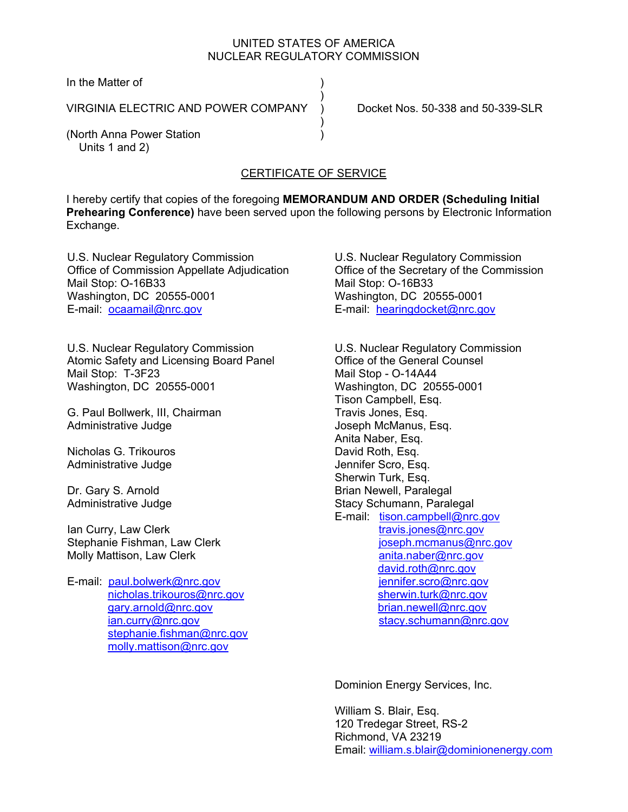### UNITED STATES OF AMERICA NUCLEAR REGULATORY COMMISSION

In the Matter of

VIRGINIA ELECTRIC AND POWER COMPANY  $\overrightarrow{)}$  Docket Nos. 50-338 and 50-339-SLR

 $)$ 

 $)$ 

(North Anna Power Station ) Units 1 and 2)

# CERTIFICATE OF SERVICE

I hereby certify that copies of the foregoing **MEMORANDUM AND ORDER (Scheduling Initial Prehearing Conference)** have been served upon the following persons by Electronic Information Exchange.

U.S. Nuclear Regulatory Commission Office of Commission Appellate Adjudication Mail Stop: O-16B33 Washington, DC 20555-0001 E-mail: ocaamail@nrc.gov

U.S. Nuclear Regulatory Commission Atomic Safety and Licensing Board Panel Mail Stop: T-3F23 Washington, DC 20555-0001

G. Paul Bollwerk, III, Chairman Administrative Judge

Nicholas G. Trikouros Administrative Judge

Dr. Gary S. Arnold Administrative Judge

Ian Curry, Law Clerk Stephanie Fishman, Law Clerk Molly Mattison, Law Clerk

E-mail: paul.bolwerk@nrc.gov nicholas.trikouros@nrc.gov gary.arnold@nrc.gov ian.curry@nrc.gov stephanie.fishman@nrc.gov molly.mattison@nrc.gov

U.S. Nuclear Regulatory Commission Office of the Secretary of the Commission Mail Stop: O-16B33 Washington, DC 20555-0001 E-mail: hearingdocket@nrc.gov

U.S. Nuclear Regulatory Commission Office of the General Counsel Mail Stop - O-14A44 Washington, DC 20555-0001 Tison Campbell, Esq. Travis Jones, Esq. Joseph McManus, Esq. Anita Naber, Esq. David Roth, Esq. Jennifer Scro, Esq. Sherwin Turk, Esq. Brian Newell, Paralegal Stacy Schumann, Paralegal E-mail: tison.campbell@nrc.gov travis.jones@nrc.gov joseph.mcmanus@nrc.gov anita.naber@nrc.gov david.roth@nrc.gov jennifer.scro@nrc.gov sherwin.turk@nrc.gov brian.newell@nrc.gov stacy.schumann@nrc.gov

Dominion Energy Services, Inc.

William S. Blair, Esq. 120 Tredegar Street, RS-2 Richmond, VA 23219 Email: william.s.blair@dominionenergy.com